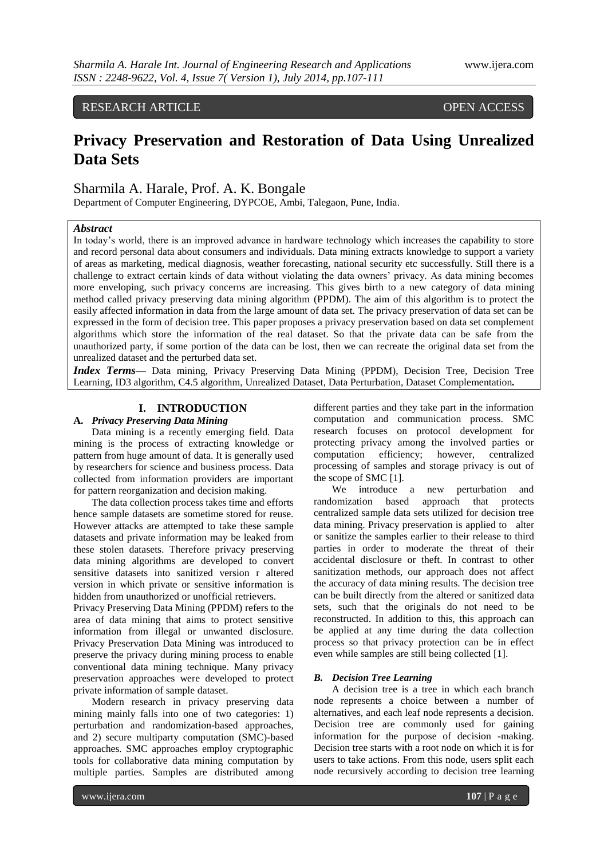RESEARCH ARTICLE OPEN ACCESS

# **Privacy Preservation and Restoration of Data Using Unrealized Data Sets**

# Sharmila A. Harale, Prof. A. K. Bongale

Department of Computer Engineering, DYPCOE, Ambi, Talegaon, Pune, India.

# *Abstract*

In today's world, there is an improved advance in hardware technology which increases the capability to store and record personal data about consumers and individuals. Data mining extracts knowledge to support a variety of areas as marketing, medical diagnosis, weather forecasting, national security etc successfully. Still there is a challenge to extract certain kinds of data without violating the data owners' privacy. As data mining becomes more enveloping, such privacy concerns are increasing. This gives birth to a new category of data mining method called privacy preserving data mining algorithm (PPDM). The aim of this algorithm is to protect the easily affected information in data from the large amount of data set. The privacy preservation of data set can be expressed in the form of decision tree. This paper proposes a privacy preservation based on data set complement algorithms which store the information of the real dataset. So that the private data can be safe from the unauthorized party, if some portion of the data can be lost, then we can recreate the original data set from the unrealized dataset and the perturbed data set.

*Index Terms—* Data mining, Privacy Preserving Data Mining (PPDM), Decision Tree, Decision Tree Learning, ID3 algorithm, C4.5 algorithm, Unrealized Dataset, Data Perturbation, Dataset Complementation*.*

# **I. INTRODUCTION**

# **A.** *Privacy Preserving Data Mining*

Data mining is a recently emerging field. Data mining is the process of extracting knowledge or pattern from huge amount of data. It is generally used by researchers for science and business process. Data collected from information providers are important for pattern reorganization and decision making.

The data collection process takes time and efforts hence sample datasets are sometime stored for reuse. However attacks are attempted to take these sample datasets and private information may be leaked from these stolen datasets. Therefore privacy preserving data mining algorithms are developed to convert sensitive datasets into sanitized version r altered version in which private or sensitive information is hidden from unauthorized or unofficial retrievers.

Privacy Preserving Data Mining (PPDM) refers to the area of data mining that aims to protect sensitive information from illegal or unwanted disclosure. Privacy Preservation Data Mining was introduced to preserve the privacy during mining process to enable conventional data mining technique. Many privacy preservation approaches were developed to protect private information of sample dataset.

Modern research in privacy preserving data mining mainly falls into one of two categories: 1) perturbation and randomization-based approaches, and 2) secure multiparty computation (SMC)-based approaches. SMC approaches employ cryptographic tools for collaborative data mining computation by multiple parties. Samples are distributed among

different parties and they take part in the information computation and communication process. SMC research focuses on protocol development for protecting privacy among the involved parties or computation efficiency; however, centralized processing of samples and storage privacy is out of the scope of SMC [1].

We introduce a new perturbation and randomization based approach that protects centralized sample data sets utilized for decision tree data mining. Privacy preservation is applied to alter or sanitize the samples earlier to their release to third parties in order to moderate the threat of their accidental disclosure or theft. In contrast to other sanitization methods, our approach does not affect the accuracy of data mining results. The decision tree can be built directly from the altered or sanitized data sets, such that the originals do not need to be reconstructed. In addition to this, this approach can be applied at any time during the data collection process so that privacy protection can be in effect even while samples are still being collected [1].

# *B. Decision Tree Learning*

A decision tree is a tree in which each branch node represents a choice between a number of alternatives, and each leaf node represents a decision. Decision tree are commonly used for gaining information for the purpose of decision -making. Decision tree starts with a root node on which it is for users to take actions. From this node, users split each node recursively according to decision tree learning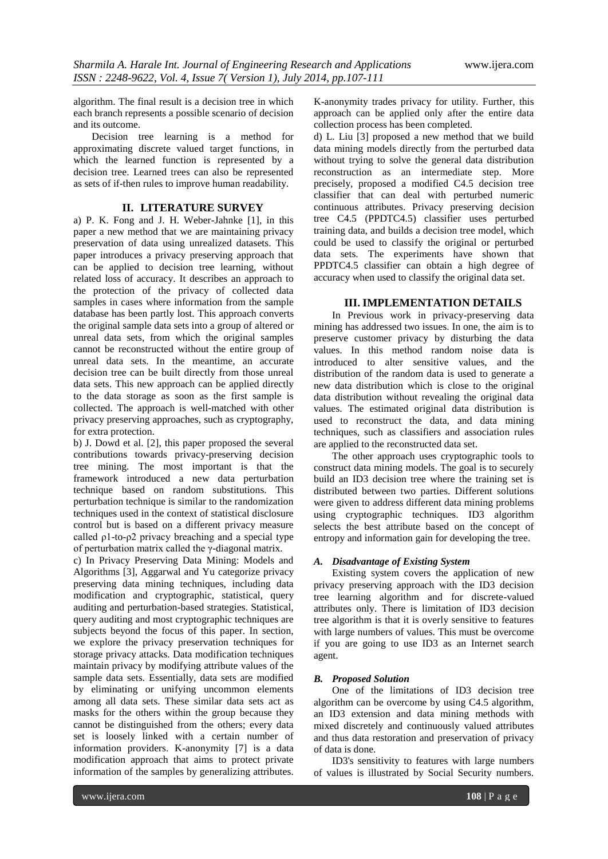algorithm. The final result is a decision tree in which each branch represents a possible scenario of decision and its outcome.

Decision tree learning is a method for approximating discrete valued target functions, in which the learned function is represented by a decision tree. Learned trees can also be represented as sets of if-then rules to improve human readability.

# **II. LITERATURE SURVEY**

a) P. K. Fong and J. H. Weber-Jahnke [1], in this paper a new method that we are maintaining privacy preservation of data using unrealized datasets. This paper introduces a privacy preserving approach that can be applied to decision tree learning, without related loss of accuracy. It describes an approach to the protection of the privacy of collected data samples in cases where information from the sample database has been partly lost. This approach converts the original sample data sets into a group of altered or unreal data sets, from which the original samples cannot be reconstructed without the entire group of unreal data sets. In the meantime, an accurate decision tree can be built directly from those unreal data sets. This new approach can be applied directly to the data storage as soon as the first sample is collected. The approach is well-matched with other privacy preserving approaches, such as cryptography, for extra protection.

b) J. Dowd et al. [2], this paper proposed the several contributions towards privacy-preserving decision tree mining. The most important is that the framework introduced a new data perturbation technique based on random substitutions. This perturbation technique is similar to the randomization techniques used in the context of statistical disclosure control but is based on a different privacy measure called ρ1-to-ρ2 privacy breaching and a special type of perturbation matrix called the γ-diagonal matrix.

c) In Privacy Preserving Data Mining: Models and Algorithms [3], Aggarwal and Yu categorize privacy preserving data mining techniques, including data modification and cryptographic, statistical, query auditing and perturbation-based strategies. Statistical, query auditing and most cryptographic techniques are subjects beyond the focus of this paper. In section, we explore the privacy preservation techniques for storage privacy attacks. Data modification techniques maintain privacy by modifying attribute values of the sample data sets. Essentially, data sets are modified by eliminating or unifying uncommon elements among all data sets. These similar data sets act as masks for the others within the group because they cannot be distinguished from the others; every data set is loosely linked with a certain number of information providers. K-anonymity [7] is a data modification approach that aims to protect private information of the samples by generalizing attributes.

K-anonymity trades privacy for utility. Further, this approach can be applied only after the entire data collection process has been completed.

d) L. Liu [3] proposed a new method that we build data mining models directly from the perturbed data without trying to solve the general data distribution reconstruction as an intermediate step. More precisely, proposed a modified C4.5 decision tree classifier that can deal with perturbed numeric continuous attributes. Privacy preserving decision tree C4.5 (PPDTC4.5) classifier uses perturbed training data, and builds a decision tree model, which could be used to classify the original or perturbed data sets. The experiments have shown that PPDTC4.5 classifier can obtain a high degree of accuracy when used to classify the original data set.

# **III. IMPLEMENTATION DETAILS**

In Previous work in privacy-preserving data mining has addressed two issues. In one, the aim is to preserve customer privacy by disturbing the data values. In this method random noise data is introduced to alter sensitive values, and the distribution of the random data is used to generate a new data distribution which is close to the original data distribution without revealing the original data values. The estimated original data distribution is used to reconstruct the data, and data mining techniques, such as classifiers and association rules are applied to the reconstructed data set.

The other approach uses cryptographic tools to construct data mining models. The goal is to securely build an ID3 decision tree where the training set is distributed between two parties. Different solutions were given to address different data mining problems using cryptographic techniques. ID3 algorithm selects the best attribute based on the concept of entropy and information gain for developing the tree.

# *A. Disadvantage of Existing System*

Existing system covers the application of new privacy preserving approach with the ID3 decision tree learning algorithm and for discrete-valued attributes only. There is limitation of ID3 decision tree algorithm is that it is overly sensitive to features with large numbers of values. This must be overcome if you are going to use ID3 as an Internet search agent.

# *B. Proposed Solution*

One of the limitations of ID3 decision tree algorithm can be overcome by using C4.5 algorithm, an ID3 extension and data mining methods with mixed discretely and continuously valued attributes and thus data restoration and preservation of privacy of data is done.

ID3's sensitivity to features with large numbers of values is illustrated by Social Security numbers.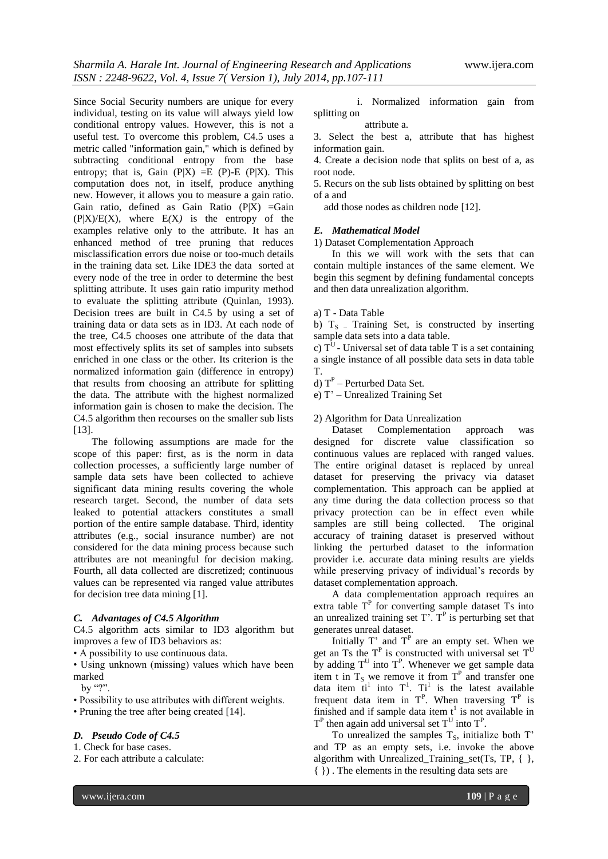Since Social Security numbers are unique for every individual, testing on its value will always yield low conditional entropy values. However, this is not a useful test. To overcome this problem, C4.5 uses a metric called "information gain," which is defined by subtracting conditional entropy from the base entropy; that is, Gain  $(P|X) = E(P) - E(P|X)$ . This computation does not, in itself, produce anything new. However, it allows you to measure a gain ratio. Gain ratio, defined as Gain Ratio  $(P|X) = G$ ain  $(P|X)/E(X)$ , where  $E(X)$  is the entropy of the examples relative only to the attribute. It has an enhanced method of tree pruning that reduces misclassification errors due noise or too-much details in the training data set. Like IDE3 the data sorted at every node of the tree in order to determine the best splitting attribute. It uses gain ratio impurity method to evaluate the splitting attribute (Quinlan, 1993). Decision trees are built in C4.5 by using a set of training data or data sets as in ID3. At each node of the tree, C4.5 chooses one attribute of the data that most effectively splits its set of samples into subsets enriched in one class or the other. Its criterion is the normalized information gain (difference in entropy) that results from choosing an attribute for splitting the data. The attribute with the highest normalized information gain is chosen to make the decision. The C4.5 algorithm then recourses on the smaller sub lists [13].

The following assumptions are made for the scope of this paper: first, as is the norm in data collection processes, a sufficiently large number of sample data sets have been collected to achieve significant data mining results covering the whole research target. Second, the number of data sets leaked to potential attackers constitutes a small portion of the entire sample database. Third, identity attributes (e.g., social insurance number) are not considered for the data mining process because such attributes are not meaningful for decision making. Fourth, all data collected are discretized; continuous values can be represented via ranged value attributes for decision tree data mining [1].

## *C. Advantages of C4.5 Algorithm*

C4.5 algorithm acts similar to ID3 algorithm but improves a few of ID3 behaviors as:

• A possibility to use continuous data.

• Using unknown (missing) values which have been marked

by "?".

• Possibility to use attributes with different weights.

• Pruning the tree after being created [14].

#### *D. Pseudo Code of C4.5*

1. Check for base cases.

2. For each attribute a calculate:

 i. Normalized information gain from splitting on

#### attribute a.

3. Select the best a, attribute that has highest information gain.

4. Create a decision node that splits on best of a, as root node.

5. Recurs on the sub lists obtained by splitting on best of a and

add those nodes as children node [12].

#### *E. Mathematical Model*

1) Dataset Complementation Approach

In this we will work with the sets that can contain multiple instances of the same element. We begin this segment by defining fundamental concepts and then data unrealization algorithm.

# a) T - Data Table

b)  $T<sub>S</sub>$  – Training Set, is constructed by inserting sample data sets into a data table.

c)  $T<sup>U</sup>$  - Universal set of data table T is a set containing a single instance of all possible data sets in data table T.

d)  $T^P$  – Perturbed Data Set.

e) T' – Unrealized Training Set

# 2) Algorithm for Data Unrealization

Dataset Complementation approach was designed for discrete value classification so continuous values are replaced with ranged values. The entire original dataset is replaced by unreal dataset for preserving the privacy via dataset complementation. This approach can be applied at any time during the data collection process so that privacy protection can be in effect even while samples are still being collected. The original accuracy of training dataset is preserved without linking the perturbed dataset to the information provider i.e. accurate data mining results are yields while preserving privacy of individual's records by dataset complementation approach.

A data complementation approach requires an extra table  $T<sup>P</sup>$  for converting sample dataset Ts into an unrealized training set  $T^{\prime}$ .  $T^{\prime}$  is perturbing set that generates unreal dataset.

Initially  $T'$  and  $T<sup>P</sup>$  are an empty set. When we get an Ts the  $T<sup>P</sup>$  is constructed with universal set  $T<sup>U</sup>$ by adding  $T^U$  into  $T^P$ . Whenever we get sample data item t in  $T_s$  we remove it from  $T<sup>P</sup>$  and transfer one data item  $ti^1$  into  $T^1$ .  $Ti^1$  is the latest available frequent data item in  $T<sup>P</sup>$ . When traversing  $T<sup>P</sup>$  is finished and if sample data item  $t^1$  is not available in  $T<sup>P</sup>$  then again add universal set  $T<sup>U</sup>$  into  $T<sup>P</sup>$ .

To unrealized the samples  $T_s$ , initialize both  $T'$ and TP as an empty sets, i.e. invoke the above algorithm with Unrealized\_Training\_set(Ts, TP,  $\{ \}$ , { }) . The elements in the resulting data sets are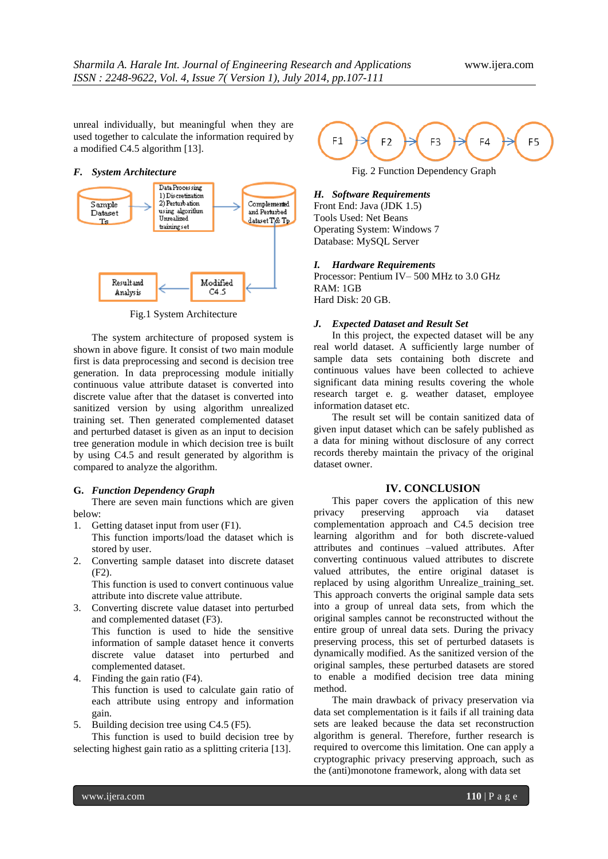unreal individually, but meaningful when they are used together to calculate the information required by a modified C4.5 algorithm [13].

## *F. System Architecture*



Fig.1 System Architecture

The system architecture of proposed system is shown in above figure. It consist of two main module first is data preprocessing and second is decision tree generation. In data preprocessing module initially continuous value attribute dataset is converted into discrete value after that the dataset is converted into sanitized version by using algorithm unrealized training set. Then generated complemented dataset and perturbed dataset is given as an input to decision tree generation module in which decision tree is built by using C4.5 and result generated by algorithm is compared to analyze the algorithm.

#### **G.** *Function Dependency Graph*

There are seven main functions which are given below:

- 1. Getting dataset input from user (F1).
- This function imports/load the dataset which is stored by user.
- 2. Converting sample dataset into discrete dataset (F2).

This function is used to convert continuous value attribute into discrete value attribute.

- 3. Converting discrete value dataset into perturbed and complemented dataset (F3). This function is used to hide the sensitive information of sample dataset hence it converts discrete value dataset into perturbed and complemented dataset.
- 4. Finding the gain ratio (F4). This function is used to calculate gain ratio of each attribute using entropy and information gain.
- 5. Building decision tree using C4.5 (F5).

This function is used to build decision tree by selecting highest gain ratio as a splitting criteria [13].



Fig. 2 Function Dependency Graph

# *H. Software Requirements*

Front End: Java (JDK 1.5) Tools Used: Net Beans Operating System: Windows 7 Database: MySQL Server

# *I. Hardware Requirements*

Processor: Pentium IV– 500 MHz to 3.0 GHz RAM: 1GB Hard Disk: 20 GB.

# *J. Expected Dataset and Result Set*

In this project, the expected dataset will be any real world dataset. A sufficiently large number of sample data sets containing both discrete and continuous values have been collected to achieve significant data mining results covering the whole research target e. g. weather dataset, employee information dataset etc.

The result set will be contain sanitized data of given input dataset which can be safely published as a data for mining without disclosure of any correct records thereby maintain the privacy of the original dataset owner.

# **IV. CONCLUSION**

This paper covers the application of this new privacy preserving approach via dataset complementation approach and C4.5 decision tree learning algorithm and for both discrete-valued attributes and continues –valued attributes. After converting continuous valued attributes to discrete valued attributes, the entire original dataset is replaced by using algorithm Unrealize\_training\_set. This approach converts the original sample data sets into a group of unreal data sets, from which the original samples cannot be reconstructed without the entire group of unreal data sets. During the privacy preserving process, this set of perturbed datasets is dynamically modified. As the sanitized version of the original samples, these perturbed datasets are stored to enable a modified decision tree data mining method.

The main drawback of privacy preservation via data set complementation is it fails if all training data sets are leaked because the data set reconstruction algorithm is general. Therefore, further research is required to overcome this limitation. One can apply a cryptographic privacy preserving approach, such as the (anti)monotone framework, along with data set